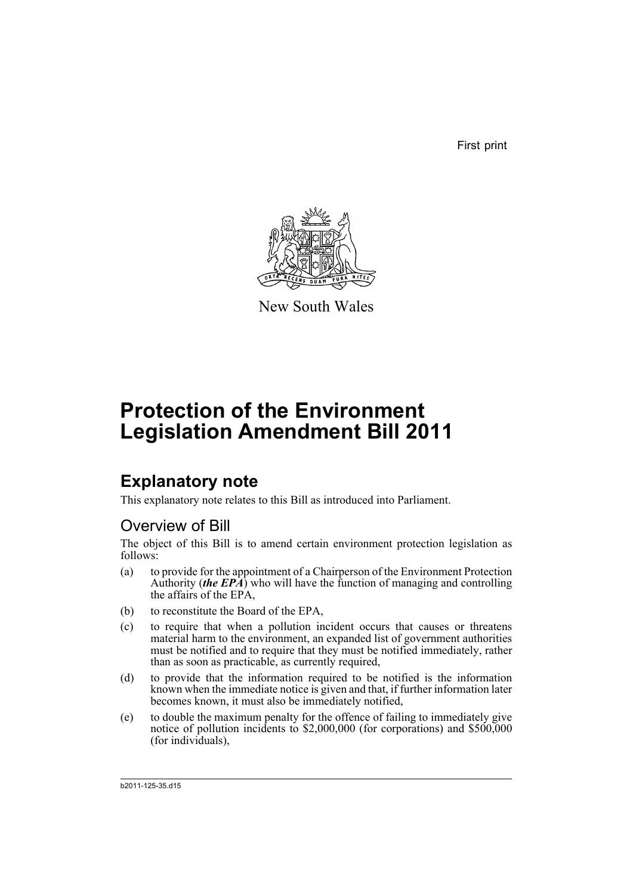First print



New South Wales

# **Protection of the Environment Legislation Amendment Bill 2011**

# **Explanatory note**

This explanatory note relates to this Bill as introduced into Parliament.

## Overview of Bill

The object of this Bill is to amend certain environment protection legislation as follows:

- (a) to provide for the appointment of a Chairperson of the Environment Protection Authority (*the EPA*) who will have the function of managing and controlling the affairs of the EPA,
- (b) to reconstitute the Board of the EPA,
- (c) to require that when a pollution incident occurs that causes or threatens material harm to the environment, an expanded list of government authorities must be notified and to require that they must be notified immediately, rather than as soon as practicable, as currently required,
- (d) to provide that the information required to be notified is the information known when the immediate notice is given and that, if further information later becomes known, it must also be immediately notified,
- (e) to double the maximum penalty for the offence of failing to immediately give notice of pollution incidents to \$2,000,000 (for corporations) and \$500,000 (for individuals),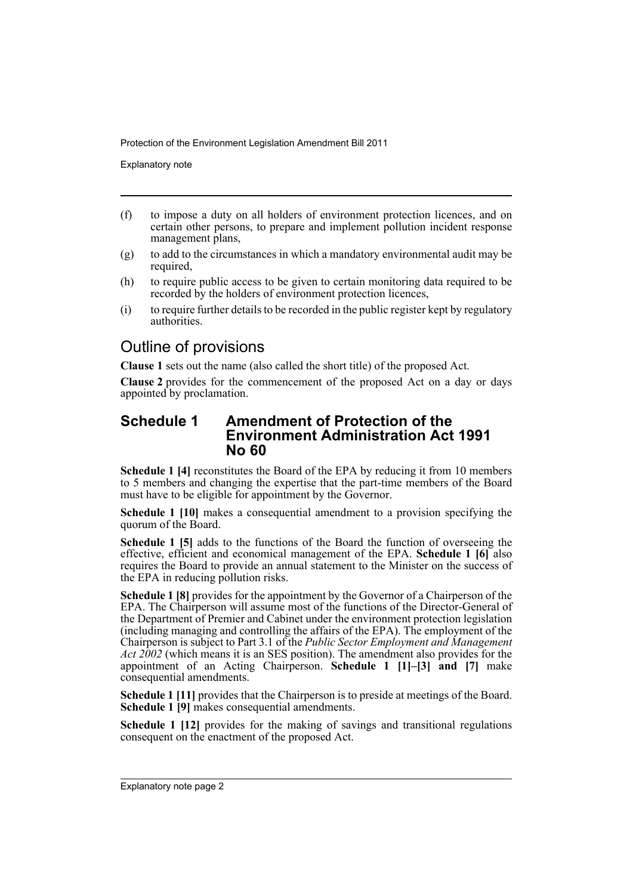Explanatory note

- (f) to impose a duty on all holders of environment protection licences, and on certain other persons, to prepare and implement pollution incident response management plans,
- $(g)$  to add to the circumstances in which a mandatory environmental audit may be required,
- (h) to require public access to be given to certain monitoring data required to be recorded by the holders of environment protection licences,
- (i) to require further details to be recorded in the public register kept by regulatory authorities.

## Outline of provisions

**Clause 1** sets out the name (also called the short title) of the proposed Act.

**Clause 2** provides for the commencement of the proposed Act on a day or days appointed by proclamation.

## **Schedule 1 Amendment of Protection of the Environment Administration Act 1991 No 60**

**Schedule 1 [4]** reconstitutes the Board of the EPA by reducing it from 10 members to 5 members and changing the expertise that the part-time members of the Board must have to be eligible for appointment by the Governor.

**Schedule 1 [10]** makes a consequential amendment to a provision specifying the quorum of the Board.

**Schedule 1 [5]** adds to the functions of the Board the function of overseeing the effective, efficient and economical management of the EPA. **Schedule 1 [6]** also requires the Board to provide an annual statement to the Minister on the success of the EPA in reducing pollution risks.

**Schedule 1 [8]** provides for the appointment by the Governor of a Chairperson of the EPA. The Chairperson will assume most of the functions of the Director-General of the Department of Premier and Cabinet under the environment protection legislation (including managing and controlling the affairs of the EPA). The employment of the Chairperson is subject to Part 3.1 of the *Public Sector Employment and Management Act 2002* (which means it is an SES position). The amendment also provides for the appointment of an Acting Chairperson. **Schedule 1 [1]–[3] and [7]** make consequential amendments.

**Schedule 1 [11]** provides that the Chairperson is to preside at meetings of the Board. **Schedule 1 [9]** makes consequential amendments.

**Schedule 1 [12]** provides for the making of savings and transitional regulations consequent on the enactment of the proposed Act.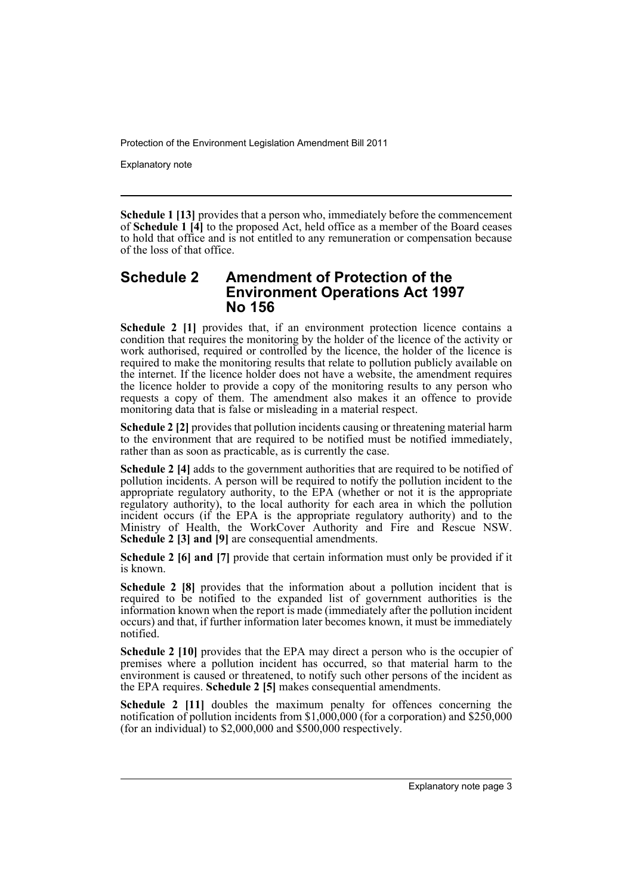Explanatory note

**Schedule 1 [13]** provides that a person who, immediately before the commencement of **Schedule 1 [4]** to the proposed Act, held office as a member of the Board ceases to hold that office and is not entitled to any remuneration or compensation because of the loss of that office.

## **Schedule 2 Amendment of Protection of the Environment Operations Act 1997 No 156**

**Schedule 2 [1]** provides that, if an environment protection licence contains a condition that requires the monitoring by the holder of the licence of the activity or work authorised, required or controlled by the licence, the holder of the licence is required to make the monitoring results that relate to pollution publicly available on the internet. If the licence holder does not have a website, the amendment requires the licence holder to provide a copy of the monitoring results to any person who requests a copy of them. The amendment also makes it an offence to provide monitoring data that is false or misleading in a material respect.

**Schedule 2 [2]** provides that pollution incidents causing or threatening material harm to the environment that are required to be notified must be notified immediately, rather than as soon as practicable, as is currently the case.

**Schedule 2 [4]** adds to the government authorities that are required to be notified of pollution incidents. A person will be required to notify the pollution incident to the appropriate regulatory authority, to the EPA (whether or not it is the appropriate regulatory authority), to the local authority for each area in which the pollution incident occurs (if the EPA is the appropriate regulatory authority) and to the Ministry of Health, the WorkCover Authority and Fire and Rescue NSW. **Schedule 2 [3] and [9]** are consequential amendments.

**Schedule 2 [6] and [7]** provide that certain information must only be provided if it is known.

**Schedule 2 [8]** provides that the information about a pollution incident that is required to be notified to the expanded list of government authorities is the information known when the report is made (immediately after the pollution incident occurs) and that, if further information later becomes known, it must be immediately notified.

**Schedule 2 [10]** provides that the EPA may direct a person who is the occupier of premises where a pollution incident has occurred, so that material harm to the environment is caused or threatened, to notify such other persons of the incident as the EPA requires. **Schedule 2 [5]** makes consequential amendments.

**Schedule 2 [11]** doubles the maximum penalty for offences concerning the notification of pollution incidents from \$1,000,000 (for a corporation) and \$250,000 (for an individual) to \$2,000,000 and \$500,000 respectively.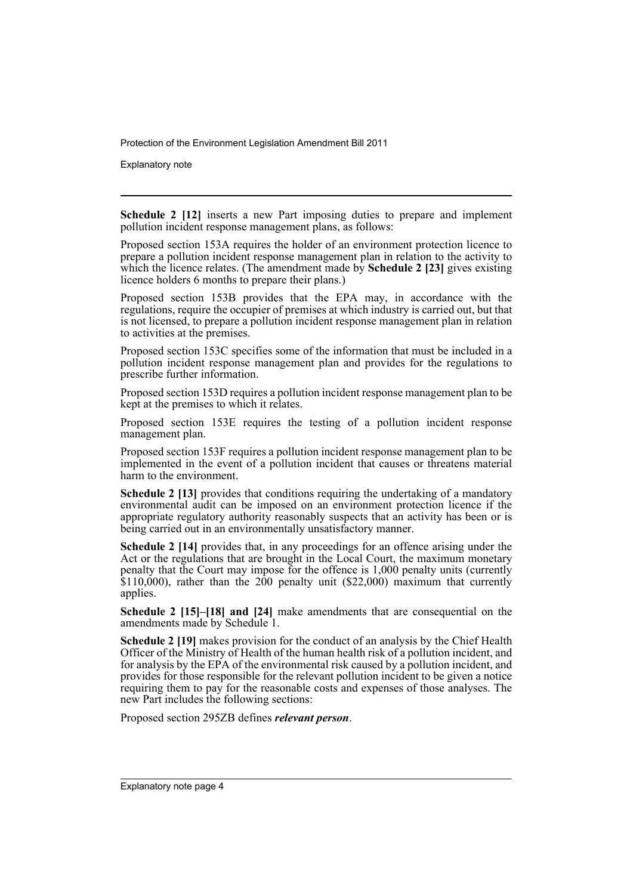Explanatory note

**Schedule 2 [12]** inserts a new Part imposing duties to prepare and implement pollution incident response management plans, as follows:

Proposed section 153A requires the holder of an environment protection licence to prepare a pollution incident response management plan in relation to the activity to which the licence relates. (The amendment made by **Schedule 2 [23]** gives existing licence holders 6 months to prepare their plans.)

Proposed section 153B provides that the EPA may, in accordance with the regulations, require the occupier of premises at which industry is carried out, but that is not licensed, to prepare a pollution incident response management plan in relation to activities at the premises.

Proposed section 153C specifies some of the information that must be included in a pollution incident response management plan and provides for the regulations to prescribe further information.

Proposed section 153D requires a pollution incident response management plan to be kept at the premises to which it relates.

Proposed section 153E requires the testing of a pollution incident response management plan.

Proposed section 153F requires a pollution incident response management plan to be implemented in the event of a pollution incident that causes or threatens material harm to the environment.

**Schedule 2 [13]** provides that conditions requiring the undertaking of a mandatory environmental audit can be imposed on an environment protection licence if the appropriate regulatory authority reasonably suspects that an activity has been or is being carried out in an environmentally unsatisfactory manner.

**Schedule 2 [14]** provides that, in any proceedings for an offence arising under the Act or the regulations that are brought in the Local Court, the maximum monetary penalty that the Court may impose for the offence is 1,000 penalty units (currently  $$110,000$ , rather than the 200 penalty unit (\$22,000) maximum that currently applies.

**Schedule 2 [15]–[18] and [24]** make amendments that are consequential on the amendments made by Schedule 1.

**Schedule 2 [19]** makes provision for the conduct of an analysis by the Chief Health Officer of the Ministry of Health of the human health risk of a pollution incident, and for analysis by the EPA of the environmental risk caused by a pollution incident, and provides for those responsible for the relevant pollution incident to be given a notice requiring them to pay for the reasonable costs and expenses of those analyses. The new Part includes the following sections:

Proposed section 295ZB defines *relevant person*.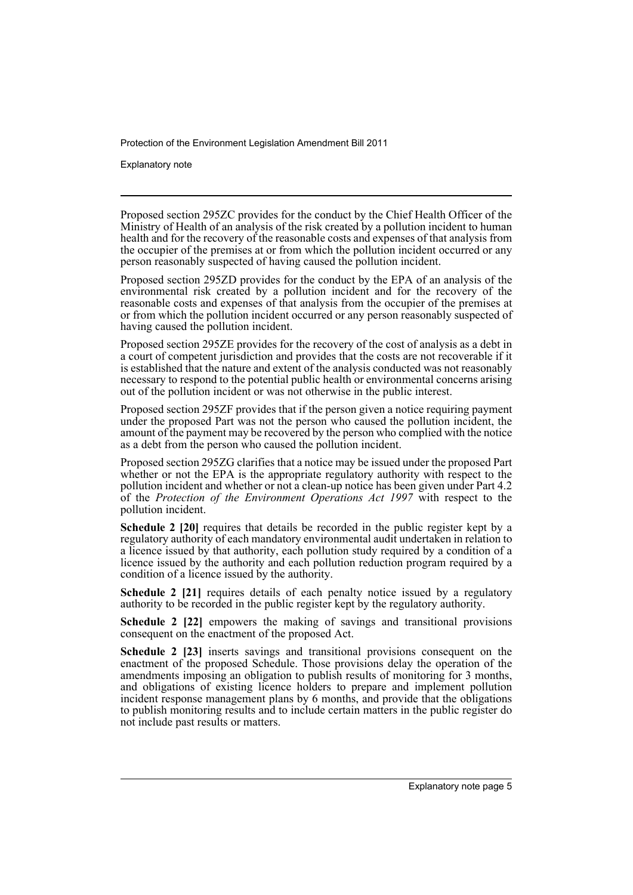Explanatory note

Proposed section 295ZC provides for the conduct by the Chief Health Officer of the Ministry of Health of an analysis of the risk created by a pollution incident to human health and for the recovery of the reasonable costs and expenses of that analysis from the occupier of the premises at or from which the pollution incident occurred or any person reasonably suspected of having caused the pollution incident.

Proposed section 295ZD provides for the conduct by the EPA of an analysis of the environmental risk created by a pollution incident and for the recovery of the reasonable costs and expenses of that analysis from the occupier of the premises at or from which the pollution incident occurred or any person reasonably suspected of having caused the pollution incident.

Proposed section 295ZE provides for the recovery of the cost of analysis as a debt in a court of competent jurisdiction and provides that the costs are not recoverable if it is established that the nature and extent of the analysis conducted was not reasonably necessary to respond to the potential public health or environmental concerns arising out of the pollution incident or was not otherwise in the public interest.

Proposed section 295ZF provides that if the person given a notice requiring payment under the proposed Part was not the person who caused the pollution incident, the amount of the payment may be recovered by the person who complied with the notice as a debt from the person who caused the pollution incident.

Proposed section 295ZG clarifies that a notice may be issued under the proposed Part whether or not the EPA is the appropriate regulatory authority with respect to the pollution incident and whether or not a clean-up notice has been given under Part 4.2 of the *Protection of the Environment Operations Act 1997* with respect to the pollution incident.

**Schedule 2 [20]** requires that details be recorded in the public register kept by a regulatory authority of each mandatory environmental audit undertaken in relation to a licence issued by that authority, each pollution study required by a condition of a licence issued by the authority and each pollution reduction program required by a condition of a licence issued by the authority.

**Schedule 2 [21]** requires details of each penalty notice issued by a regulatory authority to be recorded in the public register kept by the regulatory authority.

**Schedule 2 [22]** empowers the making of savings and transitional provisions consequent on the enactment of the proposed Act.

**Schedule 2 [23]** inserts savings and transitional provisions consequent on the enactment of the proposed Schedule. Those provisions delay the operation of the amendments imposing an obligation to publish results of monitoring for 3 months, and obligations of existing licence holders to prepare and implement pollution incident response management plans by 6 months, and provide that the obligations to publish monitoring results and to include certain matters in the public register do not include past results or matters.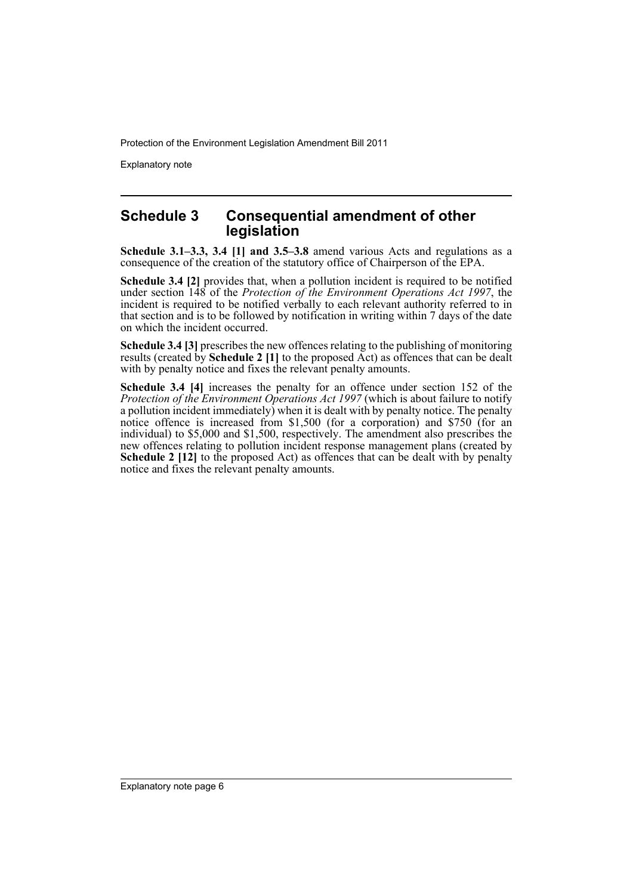Explanatory note

## **Schedule 3 Consequential amendment of other legislation**

**Schedule 3.1–3.3, 3.4 [1] and 3.5–3.8** amend various Acts and regulations as a consequence of the creation of the statutory office of Chairperson of the EPA.

**Schedule 3.4 [2]** provides that, when a pollution incident is required to be notified under section 148 of the *Protection of the Environment Operations Act 1997*, the incident is required to be notified verbally to each relevant authority referred to in that section and is to be followed by notification in writing within 7 days of the date on which the incident occurred.

**Schedule 3.4 [3]** prescribes the new offences relating to the publishing of monitoring results (created by **Schedule 2 [1]** to the proposed Act) as offences that can be dealt with by penalty notice and fixes the relevant penalty amounts.

**Schedule 3.4 [4]** increases the penalty for an offence under section 152 of the *Protection of the Environment Operations Act 1997* (which is about failure to notify a pollution incident immediately) when it is dealt with by penalty notice. The penalty notice offence is increased from \$1,500 (for a corporation) and \$750 (for an individual) to \$5,000 and \$1,500, respectively. The amendment also prescribes the new offences relating to pollution incident response management plans (created by **Schedule 2 [12]** to the proposed Act) as offences that can be dealt with by penalty notice and fixes the relevant penalty amounts.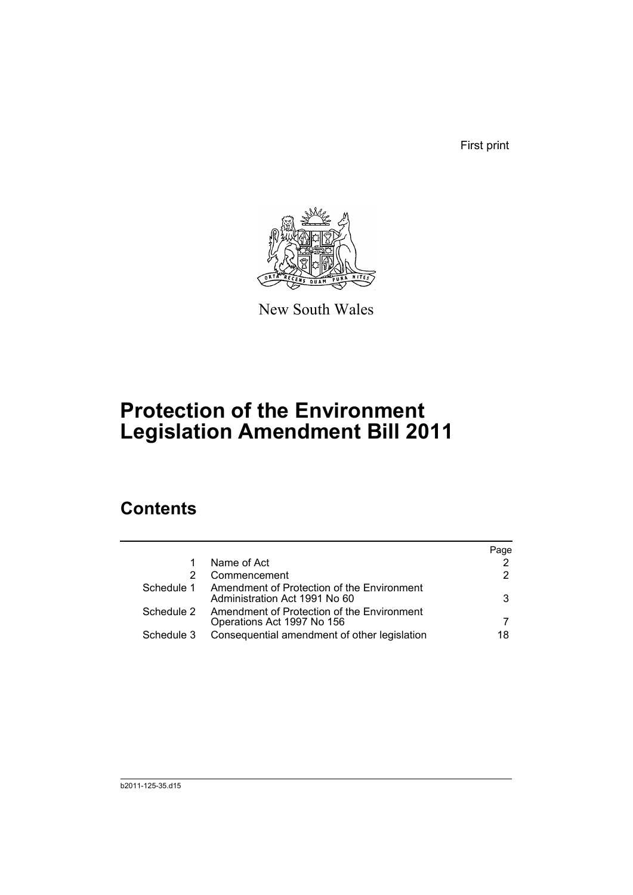First print



New South Wales

# **Protection of the Environment Legislation Amendment Bill 2011**

# **Contents**

|            |                                                                             | Page |
|------------|-----------------------------------------------------------------------------|------|
|            | Name of Act                                                                 | 2    |
|            | Commencement                                                                | 2    |
| Schedule 1 | Amendment of Protection of the Environment<br>Administration Act 1991 No 60 | 3    |
| Schedule 2 | Amendment of Protection of the Environment<br>Operations Act 1997 No 156    |      |
| Schedule 3 | Consequential amendment of other legislation                                | 18   |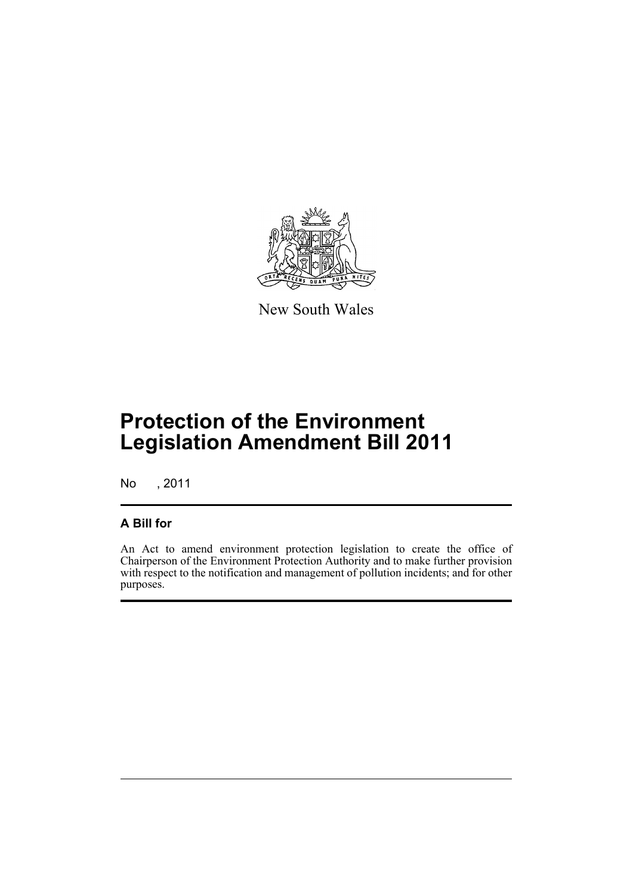

New South Wales

# **Protection of the Environment Legislation Amendment Bill 2011**

No , 2011

## **A Bill for**

An Act to amend environment protection legislation to create the office of Chairperson of the Environment Protection Authority and to make further provision with respect to the notification and management of pollution incidents; and for other purposes.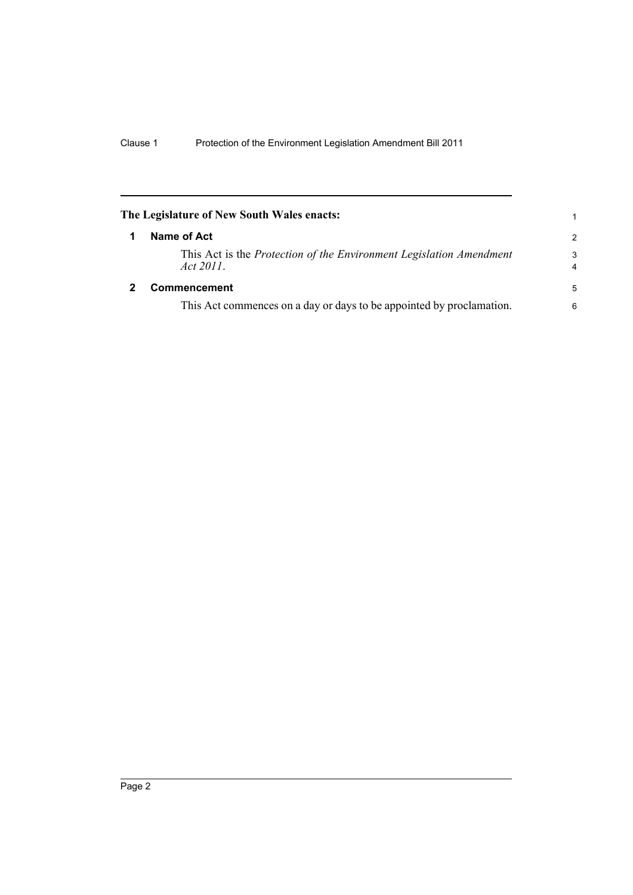<span id="page-9-1"></span><span id="page-9-0"></span>

| The Legislature of New South Wales enacts:<br>1 |                                                                                         |                              |  |  |  |
|-------------------------------------------------|-----------------------------------------------------------------------------------------|------------------------------|--|--|--|
|                                                 | Name of Act                                                                             | $\mathcal{P}$                |  |  |  |
|                                                 | This Act is the <i>Protection of the Environment Legislation Amendment</i><br>Act 2011. | 3<br>$\overline{\mathbf{4}}$ |  |  |  |
|                                                 | <b>Commencement</b>                                                                     | -5                           |  |  |  |
|                                                 | This Act commences on a day or days to be appointed by proclamation.                    | 6                            |  |  |  |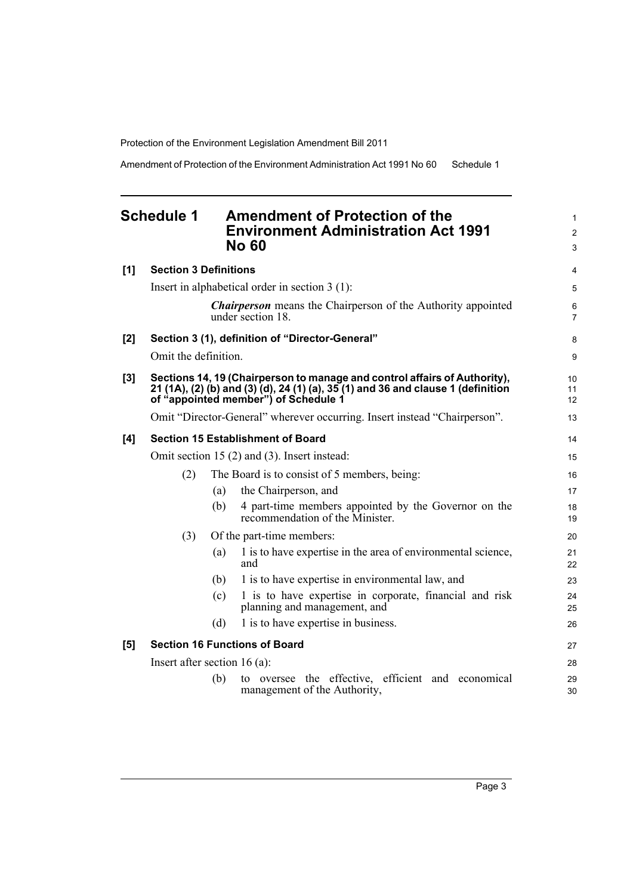Amendment of Protection of the Environment Administration Act 1991 No 60 Schedule 1

## <span id="page-10-0"></span>**Schedule 1 Amendment of Protection of the Environment Administration Act 1991 No 60**

| [1] | <b>Section 3 Definitions</b>   |     |                                                                                                                                                                                                       | 4                   |
|-----|--------------------------------|-----|-------------------------------------------------------------------------------------------------------------------------------------------------------------------------------------------------------|---------------------|
|     |                                |     | Insert in alphabetical order in section $3(1)$ :                                                                                                                                                      | 5                   |
|     |                                |     | <b>Chairperson</b> means the Chairperson of the Authority appointed<br>under section 18.                                                                                                              | 6<br>$\overline{7}$ |
| [2] |                                |     | Section 3 (1), definition of "Director-General"                                                                                                                                                       | 8                   |
|     | Omit the definition.           |     |                                                                                                                                                                                                       | 9                   |
| [3] |                                |     | Sections 14, 19 (Chairperson to manage and control affairs of Authority),<br>21 (1A), (2) (b) and (3) (d), 24 (1) (a), 35 (1) and 36 and clause 1 (definition<br>of "appointed member") of Schedule 1 | 10<br>11<br>12      |
|     |                                |     | Omit "Director-General" wherever occurring. Insert instead "Chairperson".                                                                                                                             | 13                  |
| [4] |                                |     | <b>Section 15 Establishment of Board</b>                                                                                                                                                              | 14                  |
|     |                                |     | Omit section 15 $(2)$ and $(3)$ . Insert instead:                                                                                                                                                     | 15                  |
|     | (2)                            |     | The Board is to consist of 5 members, being:                                                                                                                                                          | 16                  |
|     |                                | (a) | the Chairperson, and                                                                                                                                                                                  | 17                  |
|     |                                | (b) | 4 part-time members appointed by the Governor on the<br>recommendation of the Minister.                                                                                                               | 18<br>19            |
|     | (3)                            |     | Of the part-time members:                                                                                                                                                                             | 20                  |
|     |                                | (a) | 1 is to have expertise in the area of environmental science,<br>and                                                                                                                                   | 21<br>22            |
|     |                                | (b) | 1 is to have expertise in environmental law, and                                                                                                                                                      | 23                  |
|     |                                | (c) | 1 is to have expertise in corporate, financial and risk<br>planning and management, and                                                                                                               | 24<br>25            |
|     |                                | (d) | 1 is to have expertise in business.                                                                                                                                                                   | 26                  |
| [5] |                                |     | <b>Section 16 Functions of Board</b>                                                                                                                                                                  | 27                  |
|     | Insert after section $16(a)$ : |     |                                                                                                                                                                                                       | 28                  |
|     |                                | (b) | to oversee the effective, efficient and economical<br>management of the Authority,                                                                                                                    | 29<br>30            |
|     |                                |     |                                                                                                                                                                                                       |                     |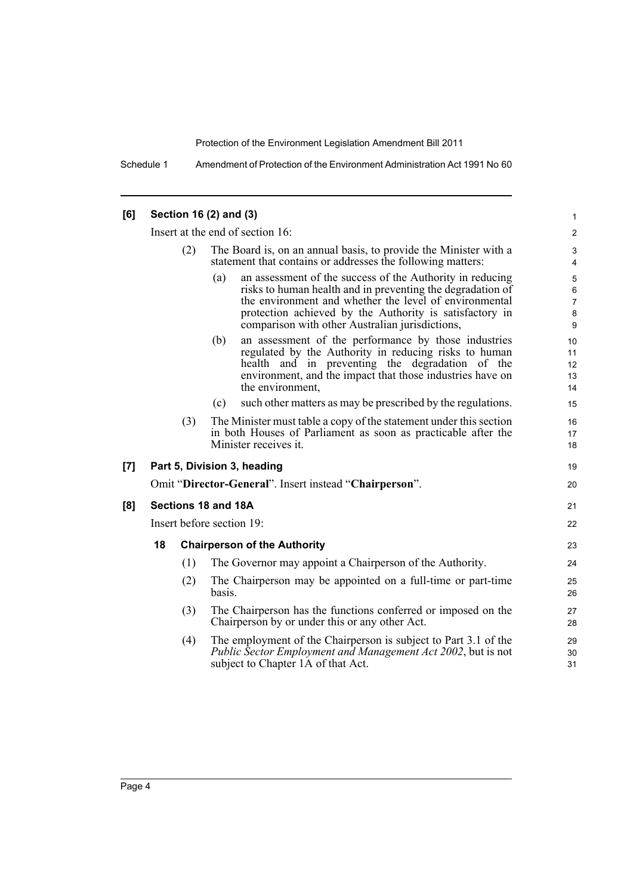Schedule 1 Amendment of Protection of the Environment Administration Act 1991 No 60

| [6] |                                  |     | Section 16 (2) and (3)                                                                                                                                                                                                                                                                                 | $\mathbf{1}$                                   |
|-----|----------------------------------|-----|--------------------------------------------------------------------------------------------------------------------------------------------------------------------------------------------------------------------------------------------------------------------------------------------------------|------------------------------------------------|
|     | Insert at the end of section 16: |     |                                                                                                                                                                                                                                                                                                        |                                                |
|     |                                  | (2) | The Board is, on an annual basis, to provide the Minister with a<br>statement that contains or addresses the following matters:                                                                                                                                                                        | 3<br>4                                         |
|     |                                  |     | an assessment of the success of the Authority in reducing<br>(a)<br>risks to human health and in preventing the degradation of<br>the environment and whether the level of environmental<br>protection achieved by the Authority is satisfactory in<br>comparison with other Australian jurisdictions, | 5<br>$\,6\,$<br>$\overline{7}$<br>$\bf 8$<br>9 |
|     |                                  |     | an assessment of the performance by those industries<br>(b)<br>regulated by the Authority in reducing risks to human<br>health and in preventing the degradation of the<br>environment, and the impact that those industries have on<br>the environment,                                               | 10<br>11<br>12<br>13<br>14                     |
|     |                                  |     | such other matters as may be prescribed by the regulations.<br>(c)                                                                                                                                                                                                                                     | 15                                             |
|     |                                  | (3) | The Minister must table a copy of the statement under this section<br>in both Houses of Parliament as soon as practicable after the<br>Minister receives it.                                                                                                                                           | 16<br>17<br>18                                 |
| [7] |                                  |     | Part 5, Division 3, heading                                                                                                                                                                                                                                                                            | 19                                             |
|     |                                  |     | Omit "Director-General". Insert instead "Chairperson".                                                                                                                                                                                                                                                 | 20                                             |
| [8] |                                  |     | Sections 18 and 18A                                                                                                                                                                                                                                                                                    | 21                                             |
|     | Insert before section 19:        |     |                                                                                                                                                                                                                                                                                                        | 22                                             |
|     | 18                               |     | <b>Chairperson of the Authority</b>                                                                                                                                                                                                                                                                    | 23                                             |
|     |                                  | (1) | The Governor may appoint a Chairperson of the Authority.                                                                                                                                                                                                                                               | 24                                             |
|     |                                  | (2) | The Chairperson may be appointed on a full-time or part-time<br>basis.                                                                                                                                                                                                                                 | 25<br>26                                       |
|     |                                  | (3) | The Chairperson has the functions conferred or imposed on the<br>Chairperson by or under this or any other Act.                                                                                                                                                                                        | 27<br>28                                       |
|     |                                  | (4) | The employment of the Chairperson is subject to Part 3.1 of the<br>Public Sector Employment and Management Act 2002, but is not<br>subject to Chapter 1A of that Act.                                                                                                                                  | 29<br>30<br>31                                 |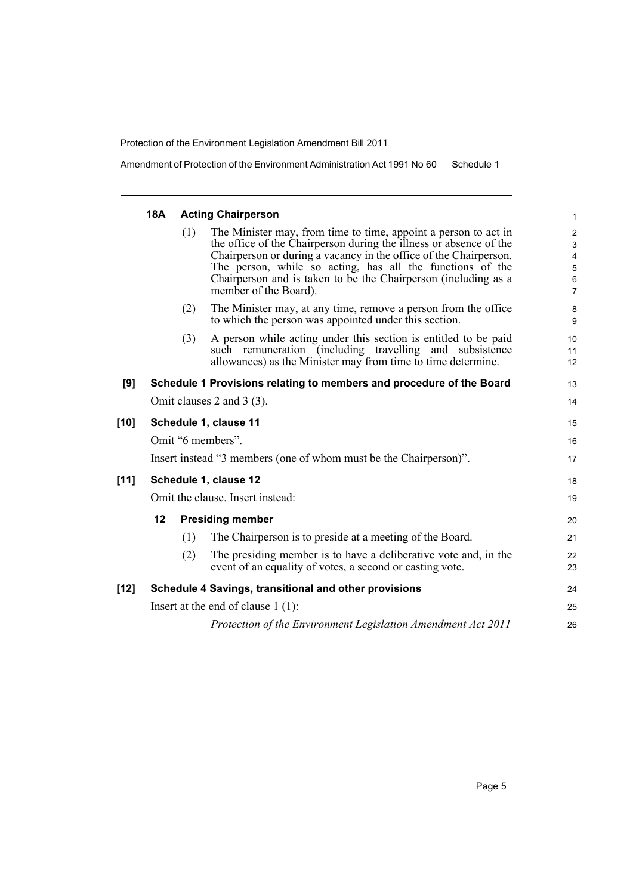Amendment of Protection of the Environment Administration Act 1991 No 60 Schedule 1

## **18A Acting Chairperson** (1) The Minister may, from time to time, appoint a person to act in the office of the Chairperson during the illness or absence of the Chairperson or during a vacancy in the office of the Chairperson. The person, while so acting, has all the functions of the Chairperson and is taken to be the Chairperson (including as a member of the Board). (2) The Minister may, at any time, remove a person from the office to which the person was appointed under this section. (3) A person while acting under this section is entitled to be paid such remuneration (including travelling and subsistence allowances) as the Minister may from time to time determine. **[9] Schedule 1 Provisions relating to members and procedure of the Board** Omit clauses 2 and 3 (3). **[10] Schedule 1, clause 11** Omit "6 members". Insert instead "3 members (one of whom must be the Chairperson)". **[11] Schedule 1, clause 12** Omit the clause. Insert instead: **12 Presiding member** (1) The Chairperson is to preside at a meeting of the Board. (2) The presiding member is to have a deliberative vote and, in the event of an equality of votes, a second or casting vote. **[12] Schedule 4 Savings, transitional and other provisions** Insert at the end of clause 1 (1): *Protection of the Environment Legislation Amendment Act 2011*

13 14

15 16 17

18 19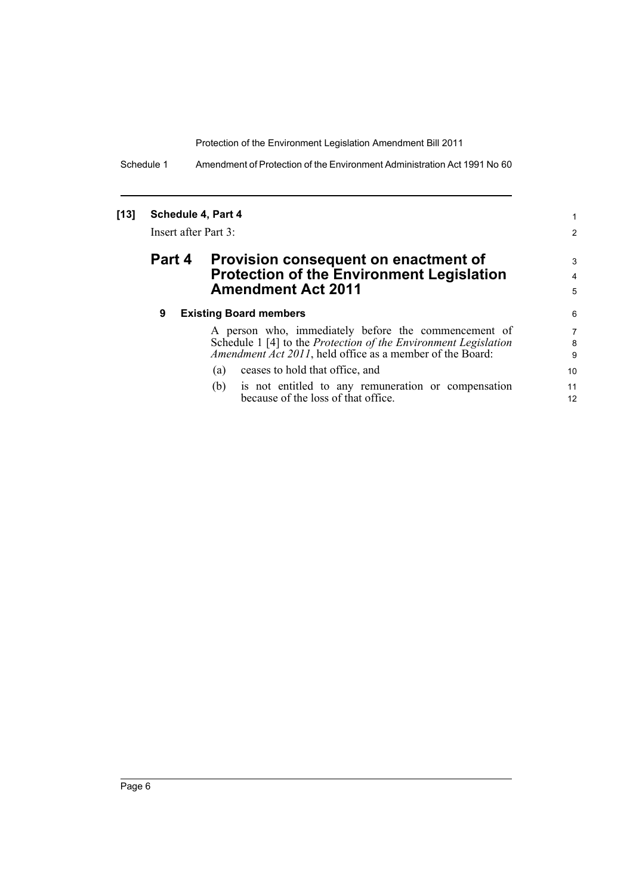Schedule 1 Amendment of Protection of the Environment Administration Act 1991 No 60

## **[13] Schedule 4, Part 4** Insert after Part 3: **Part 4 Provision consequent on enactment of Protection of the Environment Legislation Amendment Act 2011 9 Existing Board members**

A person who, immediately before the commencement of Schedule 1 [4] to the *Protection of the Environment Legislation Amendment Act 2011*, held office as a member of the Board:

1 2

3 4 5

- (a) ceases to hold that office, and
- (b) is not entitled to any remuneration or compensation because of the loss of that office.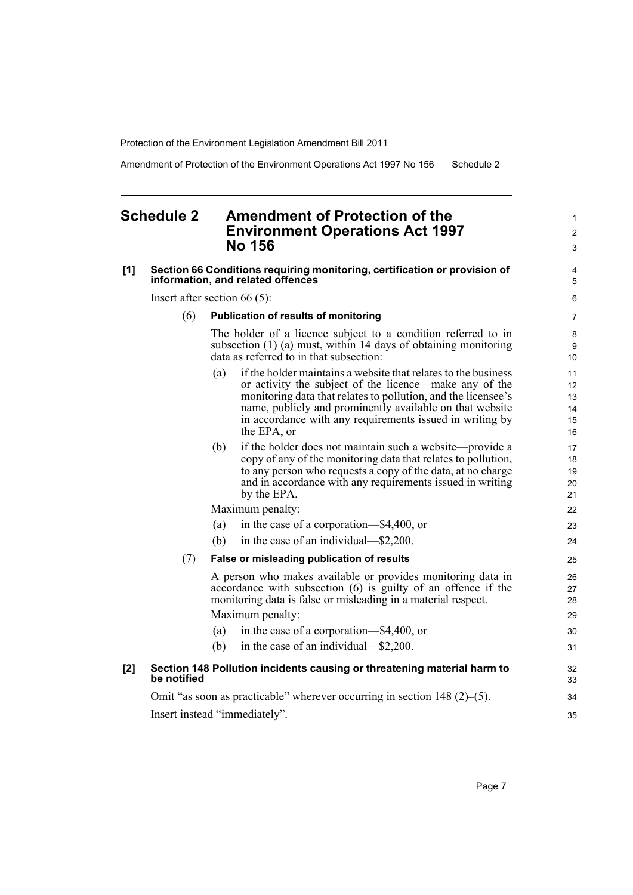Amendment of Protection of the Environment Operations Act 1997 No 156 Schedule 2

### <span id="page-14-0"></span>**Schedule 2 Amendment of Protection of the Environment Operations Act 1997 No 156**

#### **[1] Section 66 Conditions requiring monitoring, certification or provision of information, and related offences**

Insert after section 66 (5):

#### (6) **Publication of results of monitoring**

The holder of a licence subject to a condition referred to in subsection (1) (a) must, within 14 days of obtaining monitoring data as referred to in that subsection:

- (a) if the holder maintains a website that relates to the business or activity the subject of the licence—make any of the monitoring data that relates to pollution, and the licensee's name, publicly and prominently available on that website in accordance with any requirements issued in writing by the EPA, or
- (b) if the holder does not maintain such a website—provide a copy of any of the monitoring data that relates to pollution, to any person who requests a copy of the data, at no charge and in accordance with any requirements issued in writing by the EPA.

Maximum penalty:

- (a) in the case of a corporation—\$4,400, or
- (b) in the case of an individual—\$2,200.

#### (7) **False or misleading publication of results**

A person who makes available or provides monitoring data in accordance with subsection (6) is guilty of an offence if the monitoring data is false or misleading in a material respect. Maximum penalty:

(a) in the case of a corporation—\$4,400, or (b) in the case of an individual—\$2,200. 30 31 32

#### **[2] Section 148 Pollution incidents causing or threatening material harm to be notified**

Omit "as soon as practicable" wherever occurring in section 148 (2)–(5). Insert instead "immediately".

1  $\mathfrak{p}$ 3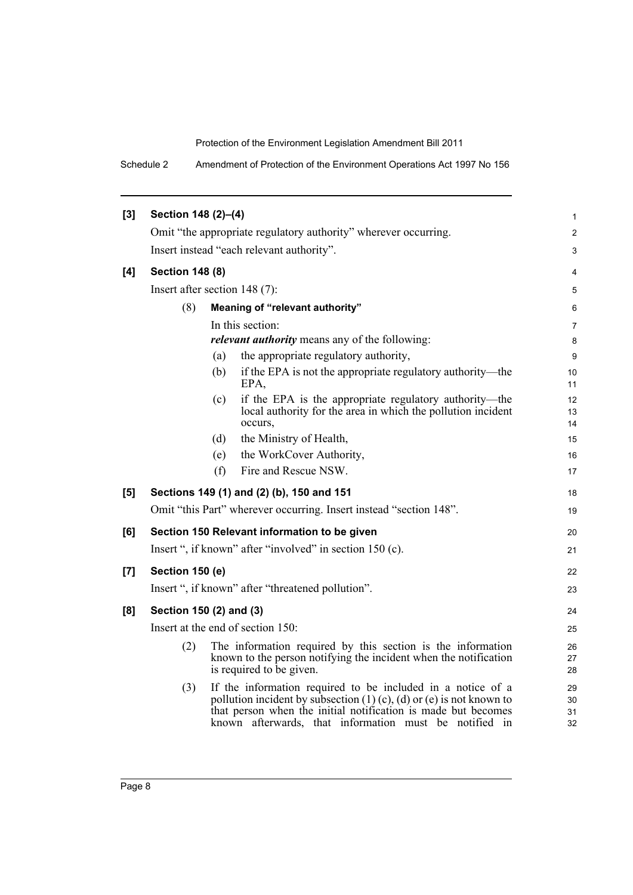Schedule 2 Amendment of Protection of the Environment Operations Act 1997 No 156

| [3] | Section 148 (2)-(4)                       |                        |                                                                                                                                                                                                                                                                  |                      |  |  |
|-----|-------------------------------------------|------------------------|------------------------------------------------------------------------------------------------------------------------------------------------------------------------------------------------------------------------------------------------------------------|----------------------|--|--|
|     |                                           |                        | Omit "the appropriate regulatory authority" wherever occurring.                                                                                                                                                                                                  | 2                    |  |  |
|     | Insert instead "each relevant authority". |                        |                                                                                                                                                                                                                                                                  |                      |  |  |
| [4] |                                           | <b>Section 148 (8)</b> |                                                                                                                                                                                                                                                                  |                      |  |  |
|     | Insert after section 148 (7):             |                        |                                                                                                                                                                                                                                                                  | 5                    |  |  |
|     | (8)                                       |                        | Meaning of "relevant authority"                                                                                                                                                                                                                                  | 6                    |  |  |
|     |                                           |                        | In this section:                                                                                                                                                                                                                                                 | 7                    |  |  |
|     |                                           |                        | <i>relevant authority</i> means any of the following:                                                                                                                                                                                                            | 8                    |  |  |
|     |                                           | (a)                    | the appropriate regulatory authority,                                                                                                                                                                                                                            | 9                    |  |  |
|     |                                           | (b)                    | if the EPA is not the appropriate regulatory authority—the<br>EPA,                                                                                                                                                                                               | 10<br>11             |  |  |
|     |                                           | (c)                    | if the EPA is the appropriate regulatory authority—the<br>local authority for the area in which the pollution incident<br>occurs,                                                                                                                                | 12<br>13<br>14       |  |  |
|     |                                           | (d)                    | the Ministry of Health,                                                                                                                                                                                                                                          | 15                   |  |  |
|     |                                           | (e)                    | the WorkCover Authority,                                                                                                                                                                                                                                         | 16                   |  |  |
|     |                                           | (f)                    | Fire and Rescue NSW.                                                                                                                                                                                                                                             | 17                   |  |  |
| [5] |                                           |                        | Sections 149 (1) and (2) (b), 150 and 151                                                                                                                                                                                                                        | 18                   |  |  |
|     |                                           |                        | Omit "this Part" wherever occurring. Insert instead "section 148".                                                                                                                                                                                               | 19                   |  |  |
| [6] |                                           |                        | Section 150 Relevant information to be given                                                                                                                                                                                                                     | 20                   |  |  |
|     |                                           |                        | Insert ", if known" after "involved" in section 150 (c).                                                                                                                                                                                                         | 21                   |  |  |
| [7] | Section 150 (e)                           |                        |                                                                                                                                                                                                                                                                  | 22                   |  |  |
|     |                                           |                        | Insert ", if known" after "threatened pollution".                                                                                                                                                                                                                | 23                   |  |  |
| [8] | Section 150 (2) and (3)                   |                        |                                                                                                                                                                                                                                                                  | 24                   |  |  |
|     |                                           |                        | Insert at the end of section 150:                                                                                                                                                                                                                                | 25                   |  |  |
|     | (2)                                       |                        | The information required by this section is the information<br>known to the person notifying the incident when the notification<br>is required to be given.                                                                                                      | 26<br>27<br>28       |  |  |
|     | (3)                                       |                        | If the information required to be included in a notice of a<br>pollution incident by subsection $(1)$ (c), (d) or (e) is not known to<br>that person when the initial notification is made but becomes<br>known afterwards, that information must be notified in | 29<br>30<br>31<br>32 |  |  |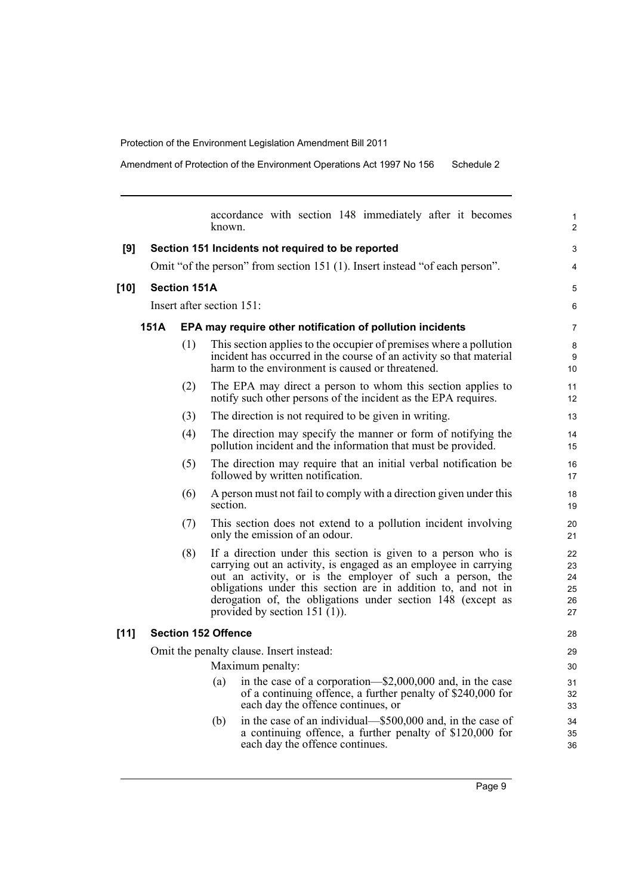Amendment of Protection of the Environment Operations Act 1997 No 156 Schedule 2

|        |                     |     | accordance with section 148 immediately after it becomes<br>known.                                                                                                                                                                                                                                                                                                | 1<br>$\overline{2}$              |  |
|--------|---------------------|-----|-------------------------------------------------------------------------------------------------------------------------------------------------------------------------------------------------------------------------------------------------------------------------------------------------------------------------------------------------------------------|----------------------------------|--|
| [9]    |                     |     | Section 151 Incidents not required to be reported                                                                                                                                                                                                                                                                                                                 | 3                                |  |
|        |                     |     | Omit "of the person" from section 151 (1). Insert instead "of each person".                                                                                                                                                                                                                                                                                       | 4                                |  |
| $[10]$ | <b>Section 151A</b> |     |                                                                                                                                                                                                                                                                                                                                                                   |                                  |  |
|        |                     |     | Insert after section 151:                                                                                                                                                                                                                                                                                                                                         | 6                                |  |
|        | 151A                |     | EPA may require other notification of pollution incidents                                                                                                                                                                                                                                                                                                         | $\overline{7}$                   |  |
|        |                     | (1) | This section applies to the occupier of premises where a pollution<br>incident has occurred in the course of an activity so that material<br>harm to the environment is caused or threatened.                                                                                                                                                                     | 8<br>9<br>10                     |  |
|        |                     | (2) | The EPA may direct a person to whom this section applies to<br>notify such other persons of the incident as the EPA requires.                                                                                                                                                                                                                                     | 11<br>12                         |  |
|        |                     | (3) | The direction is not required to be given in writing.                                                                                                                                                                                                                                                                                                             | 13                               |  |
|        |                     | (4) | The direction may specify the manner or form of notifying the<br>pollution incident and the information that must be provided.                                                                                                                                                                                                                                    | 14<br>15                         |  |
|        |                     | (5) | The direction may require that an initial verbal notification be<br>followed by written notification.                                                                                                                                                                                                                                                             | 16<br>17                         |  |
|        |                     | (6) | A person must not fail to comply with a direction given under this<br>section.                                                                                                                                                                                                                                                                                    | 18<br>19                         |  |
|        |                     | (7) | This section does not extend to a pollution incident involving<br>only the emission of an odour.                                                                                                                                                                                                                                                                  | 20<br>21                         |  |
|        |                     | (8) | If a direction under this section is given to a person who is<br>carrying out an activity, is engaged as an employee in carrying<br>out an activity, or is the employer of such a person, the<br>obligations under this section are in addition to, and not in<br>derogation of, the obligations under section 148 (except as<br>provided by section $151 (1)$ ). | 22<br>23<br>24<br>25<br>26<br>27 |  |
| $[11]$ |                     |     | <b>Section 152 Offence</b>                                                                                                                                                                                                                                                                                                                                        | 28                               |  |
|        |                     |     | Omit the penalty clause. Insert instead:                                                                                                                                                                                                                                                                                                                          | 29                               |  |
|        |                     |     | Maximum penalty:                                                                                                                                                                                                                                                                                                                                                  | 30                               |  |
|        |                     |     | in the case of a corporation—\$2,000,000 and, in the case<br>(a)<br>of a continuing offence, a further penalty of \$240,000 for<br>each day the offence continues, or                                                                                                                                                                                             | 31<br>32<br>33                   |  |
|        |                     |     | in the case of an individual—\$500,000 and, in the case of<br>(b)<br>a continuing offence, a further penalty of \$120,000 for<br>each day the offence continues.                                                                                                                                                                                                  | 34<br>35<br>36                   |  |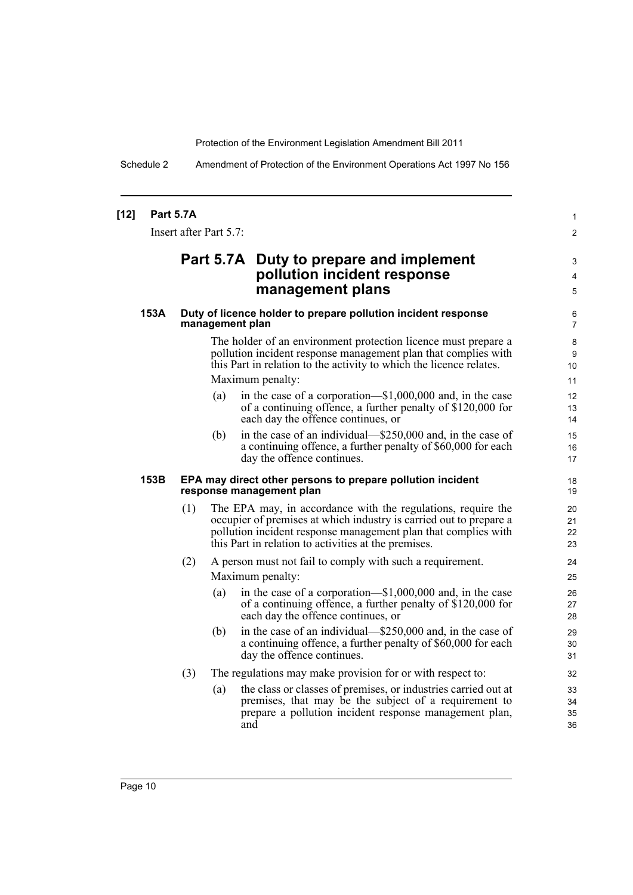Schedule 2 Amendment of Protection of the Environment Operations Act 1997 No 156

| [12] | <b>Part 5.7A</b> | Insert after Part 5.7: |                                                                                                                                                                                                                                                              | 1<br>$\overline{2}$             |
|------|------------------|------------------------|--------------------------------------------------------------------------------------------------------------------------------------------------------------------------------------------------------------------------------------------------------------|---------------------------------|
|      |                  |                        | Part 5.7A Duty to prepare and implement<br>pollution incident response<br>management plans                                                                                                                                                                   | 3<br>4<br>5                     |
| 153A |                  | management plan        | Duty of licence holder to prepare pollution incident response                                                                                                                                                                                                | 6<br>$\overline{7}$             |
|      |                  |                        | The holder of an environment protection licence must prepare a<br>pollution incident response management plan that complies with<br>this Part in relation to the activity to which the licence relates.<br>Maximum penalty:                                  | 8<br>9<br>10 <sup>°</sup><br>11 |
|      |                  | (a)                    | in the case of a corporation—\$1,000,000 and, in the case<br>of a continuing offence, a further penalty of \$120,000 for<br>each day the offence continues, or                                                                                               | 12 <sup>2</sup><br>13<br>14     |
|      |                  | (b)                    | in the case of an individual—\$250,000 and, in the case of<br>a continuing offence, a further penalty of \$60,000 for each<br>day the offence continues.                                                                                                     | 15<br>16<br>17                  |
| 153B |                  |                        | EPA may direct other persons to prepare pollution incident<br>response management plan                                                                                                                                                                       | 18<br>19                        |
|      | (1)              |                        | The EPA may, in accordance with the regulations, require the<br>occupier of premises at which industry is carried out to prepare a<br>pollution incident response management plan that complies with<br>this Part in relation to activities at the premises. | 20<br>21<br>22<br>23            |
|      | (2)              |                        | A person must not fail to comply with such a requirement.                                                                                                                                                                                                    | 24                              |
|      |                  |                        | Maximum penalty:                                                                                                                                                                                                                                             | 25                              |
|      |                  | (a)                    | in the case of a corporation— $$1,000,000$ and, in the case<br>of a continuing offence, a further penalty of \$120,000 for<br>each day the offence continues, or                                                                                             | 26<br>27<br>28                  |
|      |                  | (b)                    | in the case of an individual—\$250,000 and, in the case of<br>a continuing offence, a further penalty of \$60,000 for each<br>day the offence continues.                                                                                                     | 29<br>30<br>31                  |
|      | (3)              |                        | The regulations may make provision for or with respect to:                                                                                                                                                                                                   | 32                              |
|      |                  | (a)                    | the class or classes of premises, or industries carried out at<br>premises, that may be the subject of a requirement to<br>prepare a pollution incident response management plan,<br>and                                                                     | 33<br>34<br>35<br>36            |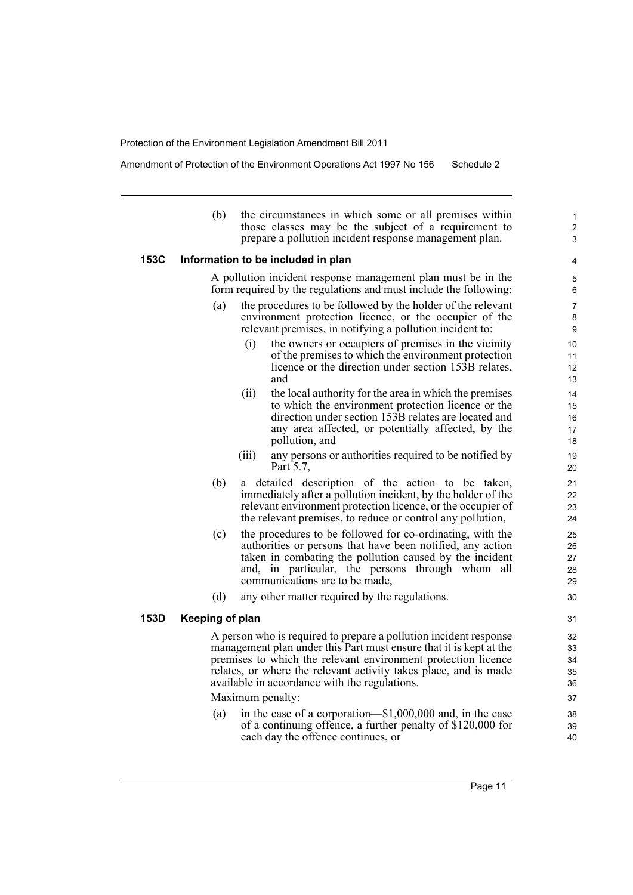Amendment of Protection of the Environment Operations Act 1997 No 156 Schedule 2

| (b) | the circumstances in which some or all premises within |
|-----|--------------------------------------------------------|
|     | those classes may be the subject of a requirement to   |
|     | prepare a pollution incident response management plan. |
|     |                                                        |

#### **153C Information to be included in plan**

A pollution incident response management plan must be in the form required by the regulations and must include the following:

- (a) the procedures to be followed by the holder of the relevant environment protection licence, or the occupier of the relevant premises, in notifying a pollution incident to:
	- (i) the owners or occupiers of premises in the vicinity of the premises to which the environment protection licence or the direction under section 153B relates, and
	- (ii) the local authority for the area in which the premises to which the environment protection licence or the direction under section 153B relates are located and any area affected, or potentially affected, by the pollution, and
	- (iii) any persons or authorities required to be notified by Part 5.7,
- (b) a detailed description of the action to be taken, immediately after a pollution incident, by the holder of the relevant environment protection licence, or the occupier of the relevant premises, to reduce or control any pollution,
- (c) the procedures to be followed for co-ordinating, with the authorities or persons that have been notified, any action taken in combating the pollution caused by the incident and, in particular, the persons through whom all communications are to be made,
- (d) any other matter required by the regulations.

#### **153D Keeping of plan**

A person who is required to prepare a pollution incident response management plan under this Part must ensure that it is kept at the premises to which the relevant environment protection licence relates, or where the relevant activity takes place, and is made available in accordance with the regulations.

Maximum penalty:

(a) in the case of a corporation—\$1,000,000 and, in the case of a continuing offence, a further penalty of \$120,000 for each day the offence continues, or

Page 11

1 2 3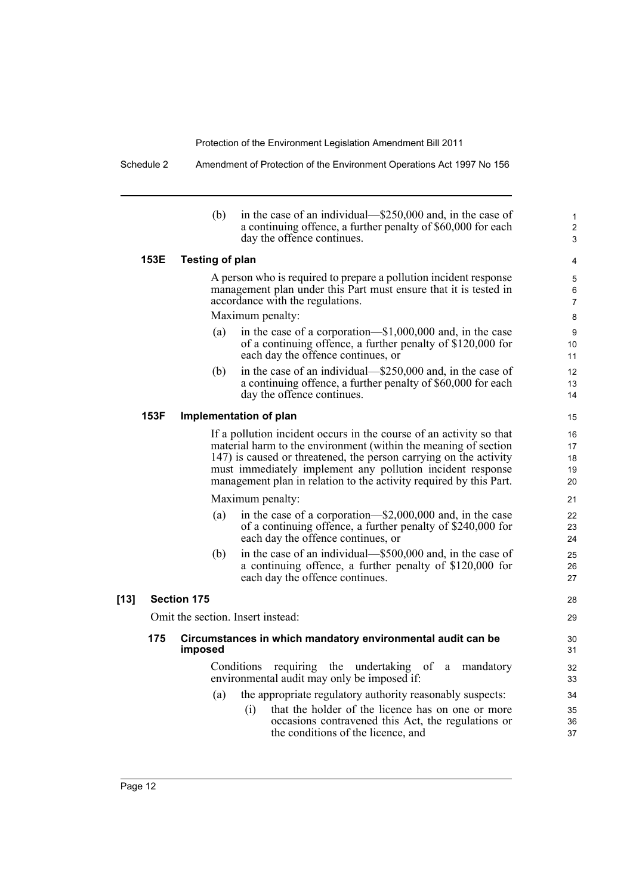Schedule 2 Amendment of Protection of the Environment Operations Act 1997 No 156

(b) in the case of an individual—\$250,000 and, in the case of a continuing offence, a further penalty of \$60,000 for each day the offence continues.

1 2 3

28 29

#### **153E Testing of plan**

A person who is required to prepare a pollution incident response management plan under this Part must ensure that it is tested in accordance with the regulations.

Maximum penalty:

- (a) in the case of a corporation—\$1,000,000 and, in the case of a continuing offence, a further penalty of \$120,000 for each day the offence continues, or
- (b) in the case of an individual—\$250,000 and, in the case of a continuing offence, a further penalty of \$60,000 for each day the offence continues.

#### **153F Implementation of plan**

If a pollution incident occurs in the course of an activity so that material harm to the environment (within the meaning of section 147) is caused or threatened, the person carrying on the activity must immediately implement any pollution incident response management plan in relation to the activity required by this Part.

Maximum penalty:

- (a) in the case of a corporation—\$2,000,000 and, in the case of a continuing offence, a further penalty of \$240,000 for each day the offence continues, or
- (b) in the case of an individual—\$500,000 and, in the case of a continuing offence, a further penalty of \$120,000 for each day the offence continues.

#### **[13] Section 175**

Omit the section. Insert instead:

#### **175 Circumstances in which mandatory environmental audit can be imposed**

Conditions requiring the undertaking of a mandatory environmental audit may only be imposed if:

- (a) the appropriate regulatory authority reasonably suspects:
	- (i) that the holder of the licence has on one or more occasions contravened this Act, the regulations or the conditions of the licence, and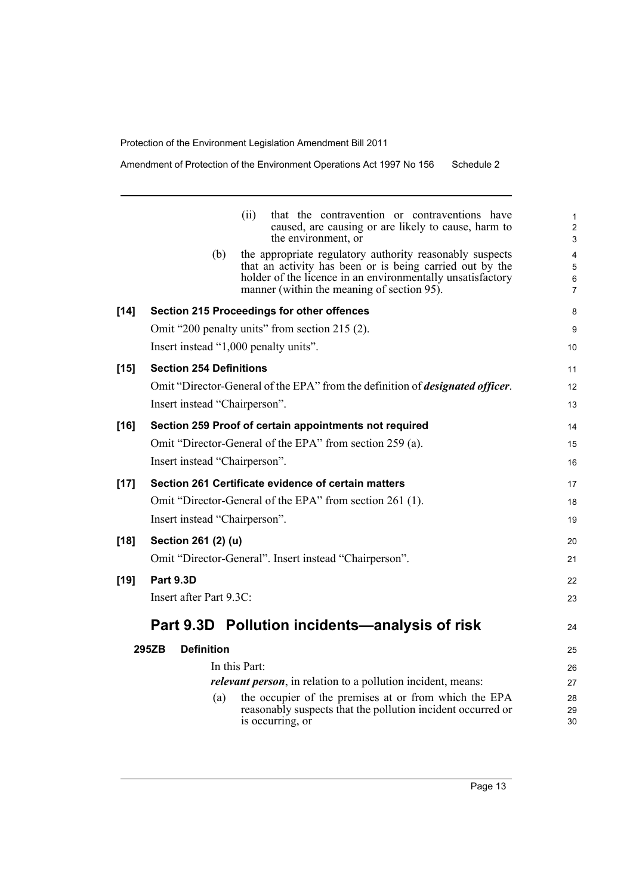| Amendment of Protection of the Environment Operations Act 1997 No 156 |  | Schedule 2 |
|-----------------------------------------------------------------------|--|------------|
|-----------------------------------------------------------------------|--|------------|

|        | that the contravention or contraventions have<br>(ii)<br>caused, are causing or are likely to cause, harm to<br>the environment, or                                                                                                     | 1<br>$\overline{c}$<br>3 |
|--------|-----------------------------------------------------------------------------------------------------------------------------------------------------------------------------------------------------------------------------------------|--------------------------|
|        | the appropriate regulatory authority reasonably suspects<br>(b)<br>that an activity has been or is being carried out by the<br>holder of the licence in an environmentally unsatisfactory<br>manner (within the meaning of section 95). | 4<br>5<br>6<br>7         |
| $[14]$ | Section 215 Proceedings for other offences                                                                                                                                                                                              | 8                        |
|        | Omit "200 penalty units" from section 215 (2).                                                                                                                                                                                          | 9                        |
|        | Insert instead "1,000 penalty units".                                                                                                                                                                                                   | 10                       |
| $[15]$ | <b>Section 254 Definitions</b>                                                                                                                                                                                                          | 11                       |
|        | Omit "Director-General of the EPA" from the definition of <i>designated officer</i> .                                                                                                                                                   | 12                       |
|        | Insert instead "Chairperson".                                                                                                                                                                                                           | 13                       |
| [16]   | Section 259 Proof of certain appointments not required                                                                                                                                                                                  | 14                       |
|        | Omit "Director-General of the EPA" from section 259 (a).                                                                                                                                                                                | 15                       |
|        | Insert instead "Chairperson".                                                                                                                                                                                                           | 16                       |
| $[17]$ | Section 261 Certificate evidence of certain matters                                                                                                                                                                                     | 17                       |
|        | Omit "Director-General of the EPA" from section 261 (1).                                                                                                                                                                                | 18                       |
|        | Insert instead "Chairperson".                                                                                                                                                                                                           | 19                       |
| [18]   | Section 261 (2) (u)                                                                                                                                                                                                                     | 20                       |
|        | Omit "Director-General". Insert instead "Chairperson".                                                                                                                                                                                  | 21                       |
| $[19]$ | <b>Part 9.3D</b>                                                                                                                                                                                                                        | 22                       |
|        | Insert after Part 9.3C:                                                                                                                                                                                                                 | 23                       |
|        | Part 9.3D Pollution incidents—analysis of risk                                                                                                                                                                                          | 24                       |
|        | 295ZB<br><b>Definition</b>                                                                                                                                                                                                              | 25                       |
|        | In this Part:                                                                                                                                                                                                                           | 26                       |
|        | <i>relevant person</i> , in relation to a pollution incident, means:                                                                                                                                                                    | 27                       |
|        | the occupier of the premises at or from which the EPA<br>(a)<br>reasonably suspects that the pollution incident occurred or                                                                                                             | 28                       |
|        | is occurring, or                                                                                                                                                                                                                        | 29<br>30                 |
|        |                                                                                                                                                                                                                                         |                          |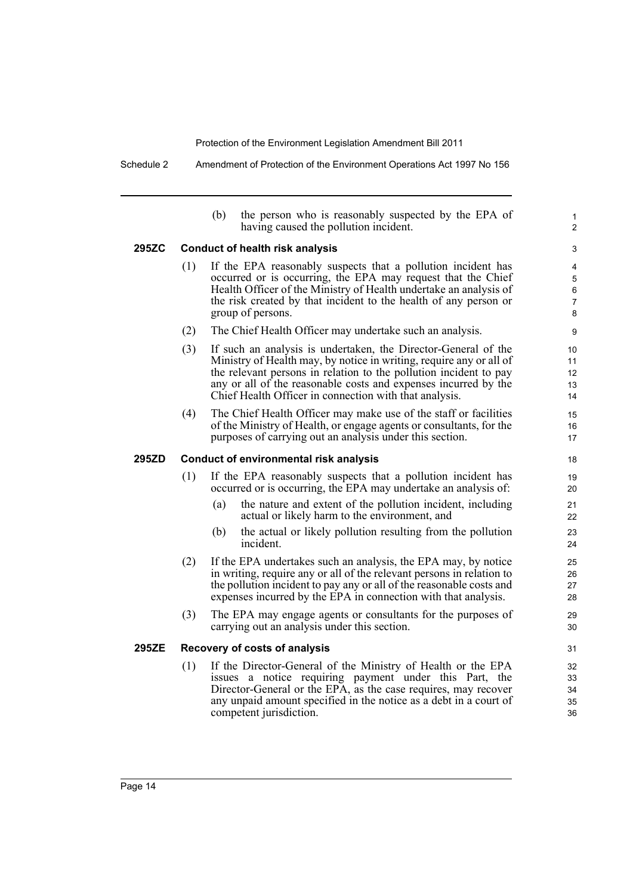Schedule 2 Amendment of Protection of the Environment Operations Act 1997 No 156

|       |                                               | (b)<br>the person who is reasonably suspected by the EPA of<br>having caused the pollution incident.                                                                                                                                                                                                                                    | 1<br>$\overline{2}$             |  |  |  |
|-------|-----------------------------------------------|-----------------------------------------------------------------------------------------------------------------------------------------------------------------------------------------------------------------------------------------------------------------------------------------------------------------------------------------|---------------------------------|--|--|--|
| 295ZC | <b>Conduct of health risk analysis</b>        |                                                                                                                                                                                                                                                                                                                                         |                                 |  |  |  |
|       | (1)                                           | If the EPA reasonably suspects that a pollution incident has<br>occurred or is occurring, the EPA may request that the Chief<br>Health Officer of the Ministry of Health undertake an analysis of<br>the risk created by that incident to the health of any person or<br>group of persons.                                              | 4<br>$\mathbf 5$<br>6<br>7<br>8 |  |  |  |
|       | (2)                                           | The Chief Health Officer may undertake such an analysis.                                                                                                                                                                                                                                                                                | 9                               |  |  |  |
|       | (3)                                           | If such an analysis is undertaken, the Director-General of the<br>Ministry of Health may, by notice in writing, require any or all of<br>the relevant persons in relation to the pollution incident to pay<br>any or all of the reasonable costs and expenses incurred by the<br>Chief Health Officer in connection with that analysis. | 10<br>11<br>12<br>13<br>14      |  |  |  |
|       | (4)                                           | The Chief Health Officer may make use of the staff or facilities<br>of the Ministry of Health, or engage agents or consultants, for the<br>purposes of carrying out an analysis under this section.                                                                                                                                     | 15<br>16<br>17                  |  |  |  |
| 295ZD | <b>Conduct of environmental risk analysis</b> |                                                                                                                                                                                                                                                                                                                                         |                                 |  |  |  |
|       | (1)                                           | If the EPA reasonably suspects that a pollution incident has<br>occurred or is occurring, the EPA may undertake an analysis of:                                                                                                                                                                                                         | 19<br>20                        |  |  |  |
|       |                                               | the nature and extent of the pollution incident, including<br>(a)<br>actual or likely harm to the environment, and                                                                                                                                                                                                                      | 21<br>22                        |  |  |  |
|       |                                               | the actual or likely pollution resulting from the pollution<br>(b)<br>incident.                                                                                                                                                                                                                                                         | 23<br>24                        |  |  |  |
|       | (2)                                           | If the EPA undertakes such an analysis, the EPA may, by notice<br>in writing, require any or all of the relevant persons in relation to<br>the pollution incident to pay any or all of the reasonable costs and<br>expenses incurred by the EPA in connection with that analysis.                                                       | 25<br>26<br>27<br>28            |  |  |  |
|       | (3)                                           | The EPA may engage agents or consultants for the purposes of<br>carrying out an analysis under this section.                                                                                                                                                                                                                            | 29<br>30                        |  |  |  |
| 295ZE |                                               | Recovery of costs of analysis                                                                                                                                                                                                                                                                                                           | 31                              |  |  |  |
|       | (1)                                           | If the Director-General of the Ministry of Health or the EPA<br>issues a notice requiring payment under this Part, the<br>Director-General or the EPA, as the case requires, may recover<br>any unpaid amount specified in the notice as a debt in a court of<br>competent jurisdiction.                                                | 32<br>33<br>34<br>35<br>36      |  |  |  |
|       |                                               |                                                                                                                                                                                                                                                                                                                                         |                                 |  |  |  |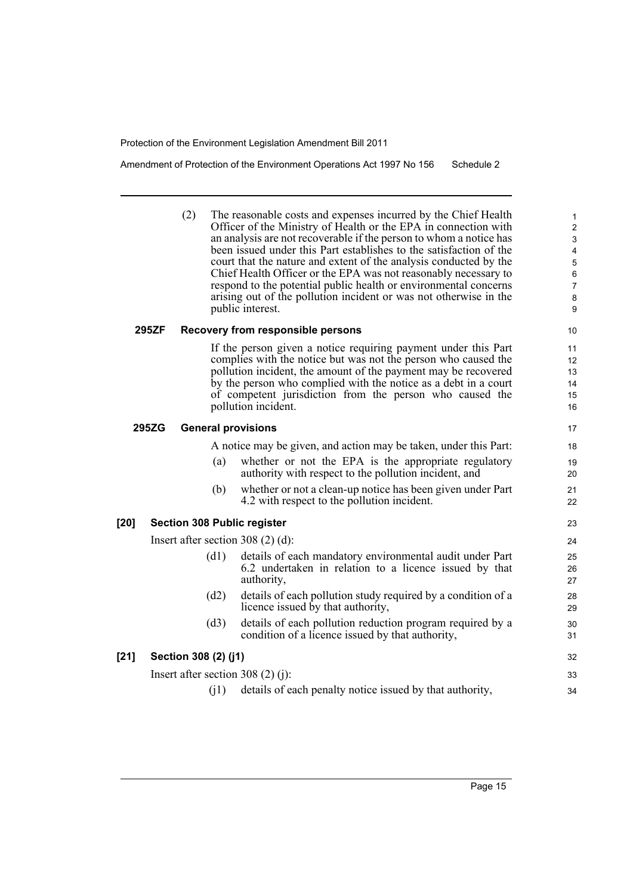Amendment of Protection of the Environment Operations Act 1997 No 156 Schedule 2

(2) The reasonable costs and expenses incurred by the Chief Health Officer of the Ministry of Health or the EPA in connection with an analysis are not recoverable if the person to whom a notice has been issued under this Part establishes to the satisfaction of the court that the nature and extent of the analysis conducted by the Chief Health Officer or the EPA was not reasonably necessary to respond to the potential public health or environmental concerns arising out of the pollution incident or was not otherwise in the public interest.

#### **295ZF Recovery from responsible persons**

If the person given a notice requiring payment under this Part complies with the notice but was not the person who caused the pollution incident, the amount of the payment may be recovered by the person who complied with the notice as a debt in a court of competent jurisdiction from the person who caused the pollution incident.

#### **295ZG General provisions**

A notice may be given, and action may be taken, under this Part:

- (a) whether or not the EPA is the appropriate regulatory authority with respect to the pollution incident, and
- (b) whether or not a clean-up notice has been given under Part 4.2 with respect to the pollution incident.

#### **[20] Section 308 Public register**

Insert after section 308 (2) (d):

- (d1) details of each mandatory environmental audit under Part 6.2 undertaken in relation to a licence issued by that authority,
- (d2) details of each pollution study required by a condition of a licence issued by that authority,
- (d3) details of each pollution reduction program required by a condition of a licence issued by that authority,

#### **[21] Section 308 (2) (j1)**

Insert after section 308 (2) (j):

(j1) details of each penalty notice issued by that authority,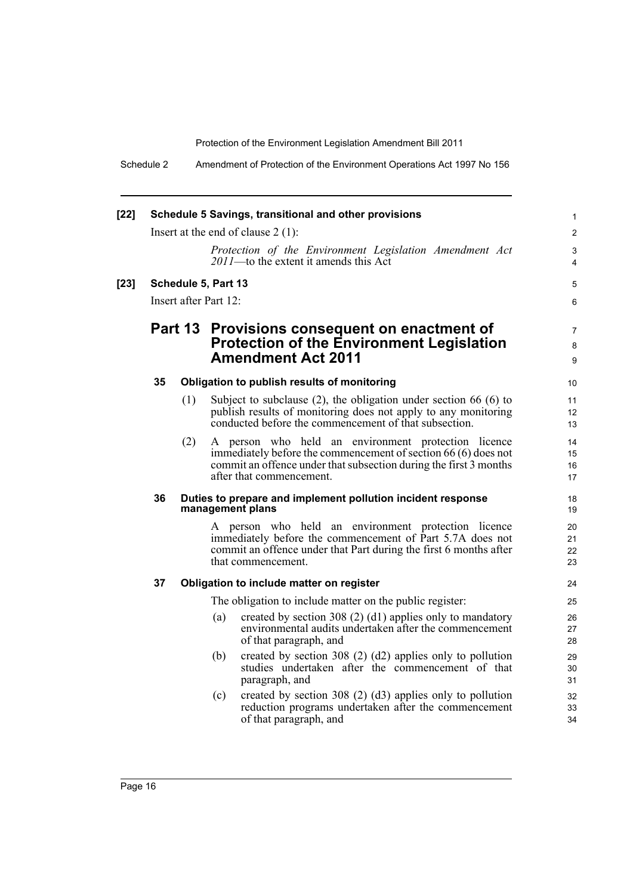Schedule 2 Amendment of Protection of the Environment Operations Act 1997 No 156

| $[22]$ | Schedule 5 Savings, transitional and other provisions<br>Insert at the end of clause $2(1)$ : |                                              |     |                                                                                                                                                                                                                        |                                       |
|--------|-----------------------------------------------------------------------------------------------|----------------------------------------------|-----|------------------------------------------------------------------------------------------------------------------------------------------------------------------------------------------------------------------------|---------------------------------------|
|        |                                                                                               |                                              |     | Protection of the Environment Legislation Amendment Act<br>2011-to the extent it amends this Act                                                                                                                       | $\overline{2}$<br>3<br>$\overline{4}$ |
| $[23]$ |                                                                                               | Schedule 5, Part 13<br>Insert after Part 12: |     |                                                                                                                                                                                                                        | 5<br>6                                |
|        |                                                                                               |                                              |     | Part 13 Provisions consequent on enactment of<br><b>Protection of the Environment Legislation</b><br><b>Amendment Act 2011</b>                                                                                         | 7<br>8<br>9                           |
|        | 35                                                                                            |                                              |     | Obligation to publish results of monitoring                                                                                                                                                                            | 10                                    |
|        |                                                                                               | (1)                                          |     | Subject to subclause $(2)$ , the obligation under section 66 $(6)$ to<br>publish results of monitoring does not apply to any monitoring<br>conducted before the commencement of that subsection.                       | 11<br>12<br>13                        |
|        |                                                                                               | (2)                                          |     | A person who held an environment protection licence<br>immediately before the commencement of section 66 (6) does not<br>commit an offence under that subsection during the first 3 months<br>after that commencement. | 14<br>15<br>16<br>17                  |
|        | 36                                                                                            |                                              |     | Duties to prepare and implement pollution incident response<br>management plans                                                                                                                                        | 18<br>19                              |
|        |                                                                                               |                                              |     | A person who held an environment protection licence<br>immediately before the commencement of Part 5.7A does not<br>commit an offence under that Part during the first 6 months after<br>that commencement.            | 20<br>21<br>22<br>23                  |
|        | 37                                                                                            |                                              |     | Obligation to include matter on register                                                                                                                                                                               | 24                                    |
|        |                                                                                               |                                              |     | The obligation to include matter on the public register:                                                                                                                                                               | 25                                    |
|        |                                                                                               |                                              | (a) | created by section 308 (2) (d1) applies only to mandatory<br>environmental audits undertaken after the commencement<br>of that paragraph, and                                                                          | 26<br>27<br>28                        |
|        |                                                                                               |                                              | (b) | created by section 308 $(2)$ $(d2)$ applies only to pollution<br>studies undertaken after the commencement of that<br>paragraph, and                                                                                   | 29<br>30<br>31                        |
|        |                                                                                               |                                              | (c) | created by section 308 $(2)$ $(d3)$ applies only to pollution<br>reduction programs undertaken after the commencement<br>of that paragraph, and                                                                        | 32<br>33<br>34                        |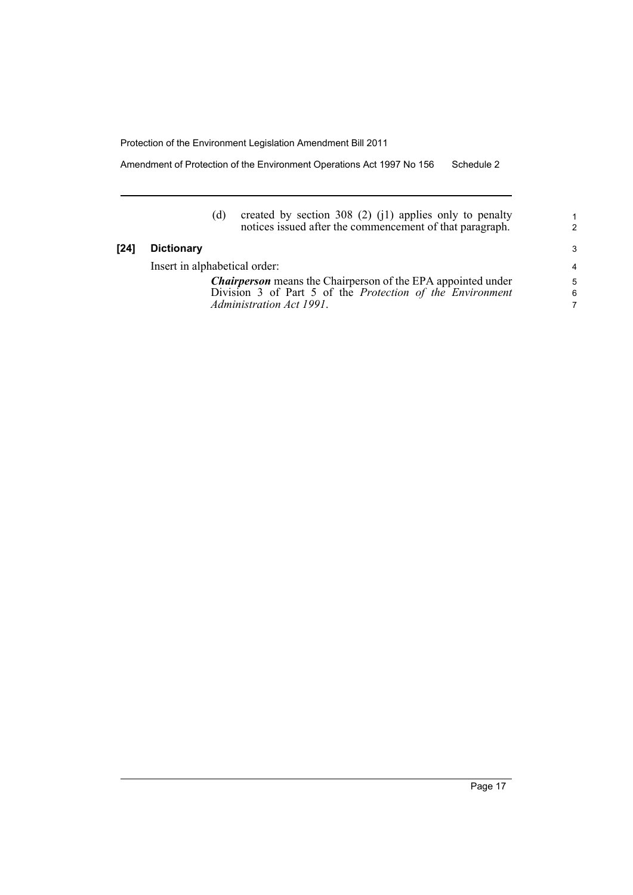Amendment of Protection of the Environment Operations Act 1997 No 156 Schedule 2

(d) created by section 308 (2) (j1) applies only to penalty notices issued after the commencement of that paragraph.

#### **[24] Dictionary**

Insert in alphabetical order:

*Chairperson* means the Chairperson of the EPA appointed under Division 3 of Part 5 of the *Protection of the Environment Administration Act 1991*.

1 2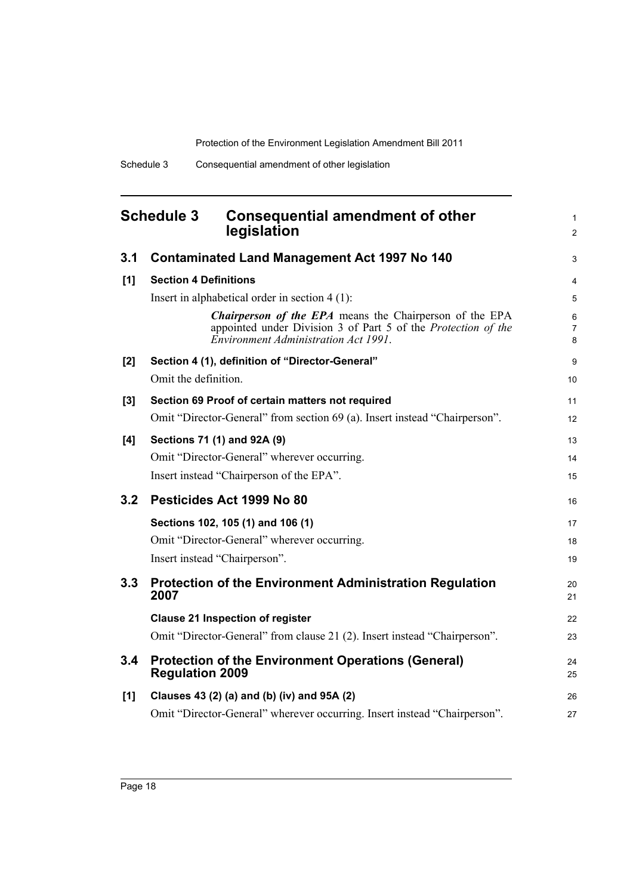1 2

3

13 14 15

16

17 18 19

 $24$ 25

26 27

## <span id="page-25-0"></span>**Schedule 3 Consequential amendment of other legislation 3.1 Contaminated Land Management Act 1997 No 140 [1] Section 4 Definitions** Insert in alphabetical order in section 4 (1): *Chairperson of the EPA* means the Chairperson of the EPA appointed under Division 3 of Part 5 of the *Protection of the Environment Administration Act 1991*. **[2] Section 4 (1), definition of "Director-General"** Omit the definition. **[3] Section 69 Proof of certain matters not required** Omit "Director-General" from section 69 (a). Insert instead "Chairperson". **[4] Sections 71 (1) and 92A (9)** Omit "Director-General" wherever occurring. Insert instead "Chairperson of the EPA". **3.2 Pesticides Act 1999 No 80 Sections 102, 105 (1) and 106 (1)** Omit "Director-General" wherever occurring. Insert instead "Chairperson".

# **3.3 Protection of the Environment Administration Regulation 2007 Clause 21 Inspection of register** Omit "Director-General" from clause 21 (2). Insert instead "Chairperson". **3.4 Protection of the Environment Operations (General) Regulation 2009**

### **[1] Clauses 43 (2) (a) and (b) (iv) and 95A (2)** Omit "Director-General" wherever occurring. Insert instead "Chairperson".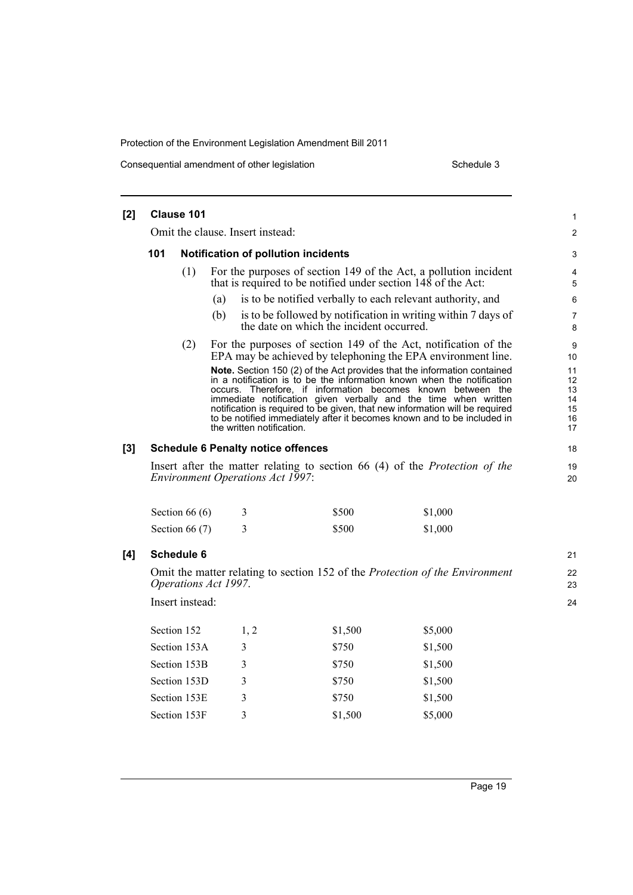Consequential amendment of other legislation Schedule 3

| $[2]$ | Clause 101                                                                                                                    |                  |                                                                                                                                                                                                                                                                                                                                                      |                                                                       |                                                                              |  |  |
|-------|-------------------------------------------------------------------------------------------------------------------------------|------------------|------------------------------------------------------------------------------------------------------------------------------------------------------------------------------------------------------------------------------------------------------------------------------------------------------------------------------------------------------|-----------------------------------------------------------------------|------------------------------------------------------------------------------|--|--|
|       | Omit the clause. Insert instead:                                                                                              |                  |                                                                                                                                                                                                                                                                                                                                                      |                                                                       |                                                                              |  |  |
|       | 101<br>Notification of pollution incidents                                                                                    |                  |                                                                                                                                                                                                                                                                                                                                                      |                                                                       |                                                                              |  |  |
|       |                                                                                                                               | (1)              |                                                                                                                                                                                                                                                                                                                                                      | that is required to be notified under section $14\hat{8}$ of the Act: | For the purposes of section 149 of the Act, a pollution incident             |  |  |
|       |                                                                                                                               |                  | (a)                                                                                                                                                                                                                                                                                                                                                  |                                                                       | is to be notified verbally to each relevant authority, and                   |  |  |
|       |                                                                                                                               |                  | (b)                                                                                                                                                                                                                                                                                                                                                  | the date on which the incident occurred.                              | is to be followed by notification in writing within 7 days of                |  |  |
|       |                                                                                                                               | (2)              | For the purposes of section 149 of the Act, notification of the<br>EPA may be achieved by telephoning the EPA environment line.<br>Note. Section 150 (2) of the Act provides that the information contained<br>in a notification is to be the information known when the notification<br>occurs. Therefore, if information becomes known between the |                                                                       |                                                                              |  |  |
|       |                                                                                                                               |                  | immediate notification given verbally and the time when written<br>notification is required to be given, that new information will be required<br>to be notified immediately after it becomes known and to be included in<br>the written notification.                                                                                               |                                                                       |                                                                              |  |  |
| [3]   | <b>Schedule 6 Penalty notice offences</b>                                                                                     |                  |                                                                                                                                                                                                                                                                                                                                                      |                                                                       |                                                                              |  |  |
|       | Insert after the matter relating to section 66 (4) of the <i>Protection of the</i><br><b>Environment Operations Act 1997:</b> |                  |                                                                                                                                                                                                                                                                                                                                                      |                                                                       |                                                                              |  |  |
|       |                                                                                                                               |                  |                                                                                                                                                                                                                                                                                                                                                      |                                                                       |                                                                              |  |  |
|       |                                                                                                                               | Section 66 $(6)$ | 3                                                                                                                                                                                                                                                                                                                                                    | \$500                                                                 | \$1,000                                                                      |  |  |
|       |                                                                                                                               | Section 66 $(7)$ | 3                                                                                                                                                                                                                                                                                                                                                    | \$500                                                                 | \$1,000                                                                      |  |  |
|       |                                                                                                                               | Schedule 6       |                                                                                                                                                                                                                                                                                                                                                      |                                                                       |                                                                              |  |  |
|       |                                                                                                                               |                  | Operations Act 1997.                                                                                                                                                                                                                                                                                                                                 |                                                                       | Omit the matter relating to section 152 of the Protection of the Environment |  |  |
|       |                                                                                                                               | Insert instead:  |                                                                                                                                                                                                                                                                                                                                                      |                                                                       |                                                                              |  |  |
|       |                                                                                                                               | Section 152      | 1, 2                                                                                                                                                                                                                                                                                                                                                 | \$1,500                                                               | \$5,000                                                                      |  |  |
|       |                                                                                                                               | Section 153A     | 3                                                                                                                                                                                                                                                                                                                                                    | \$750                                                                 | \$1,500                                                                      |  |  |
|       |                                                                                                                               | Section 153B     | 3                                                                                                                                                                                                                                                                                                                                                    | \$750                                                                 | \$1,500                                                                      |  |  |
|       |                                                                                                                               | Section 153D     | 3                                                                                                                                                                                                                                                                                                                                                    | \$750                                                                 | \$1,500                                                                      |  |  |
| [4]   |                                                                                                                               | Section 153E     | 3                                                                                                                                                                                                                                                                                                                                                    | \$750                                                                 | \$1,500                                                                      |  |  |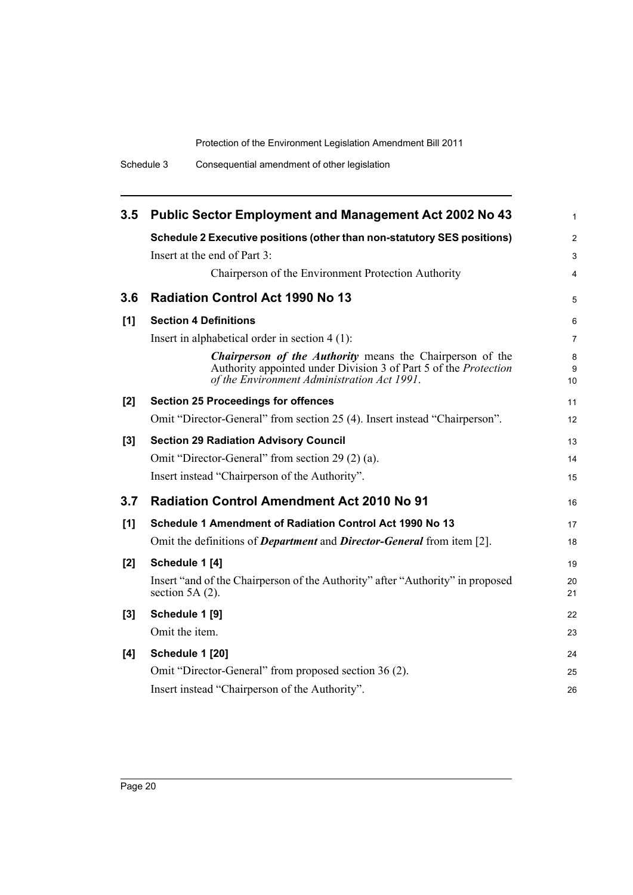| 3.5 | <b>Public Sector Employment and Management Act 2002 No 43</b>                                                                                                                |                |  |
|-----|------------------------------------------------------------------------------------------------------------------------------------------------------------------------------|----------------|--|
|     | Schedule 2 Executive positions (other than non-statutory SES positions)                                                                                                      | $\overline{2}$ |  |
|     | Insert at the end of Part 3:                                                                                                                                                 | 3              |  |
|     | Chairperson of the Environment Protection Authority                                                                                                                          | 4              |  |
| 3.6 | <b>Radiation Control Act 1990 No 13</b>                                                                                                                                      | 5              |  |
| [1] | <b>Section 4 Definitions</b>                                                                                                                                                 | 6              |  |
|     | Insert in alphabetical order in section $4(1)$ :                                                                                                                             | 7              |  |
|     | Chairperson of the Authority means the Chairperson of the<br>Authority appointed under Division 3 of Part 5 of the Protection<br>of the Environment Administration Act 1991. | 8<br>9<br>10   |  |
| [2] | <b>Section 25 Proceedings for offences</b>                                                                                                                                   | 11             |  |
|     | Omit "Director-General" from section 25 (4). Insert instead "Chairperson".                                                                                                   | 12             |  |
| [3] | <b>Section 29 Radiation Advisory Council</b>                                                                                                                                 | 13             |  |
|     | Omit "Director-General" from section 29 (2) (a).                                                                                                                             | 14             |  |
|     | Insert instead "Chairperson of the Authority".                                                                                                                               | 15             |  |
| 3.7 | <b>Radiation Control Amendment Act 2010 No 91</b>                                                                                                                            | 16             |  |
| [1] | Schedule 1 Amendment of Radiation Control Act 1990 No 13                                                                                                                     | 17             |  |
|     | Omit the definitions of <i>Department</i> and <i>Director-General</i> from item [2].                                                                                         | 18             |  |
| [2] | Schedule 1 [4]                                                                                                                                                               | 19             |  |
|     | Insert "and of the Chairperson of the Authority" after "Authority" in proposed<br>section 5A $(2)$ .                                                                         | 20<br>21       |  |
| [3] | Schedule 1 [9]                                                                                                                                                               | 22             |  |
|     | Omit the item.                                                                                                                                                               | 23             |  |
| [4] | Schedule 1 [20]                                                                                                                                                              | 24             |  |
|     | Omit "Director-General" from proposed section 36 (2).                                                                                                                        | 25             |  |
|     | Insert instead "Chairperson of the Authority".                                                                                                                               | 26             |  |